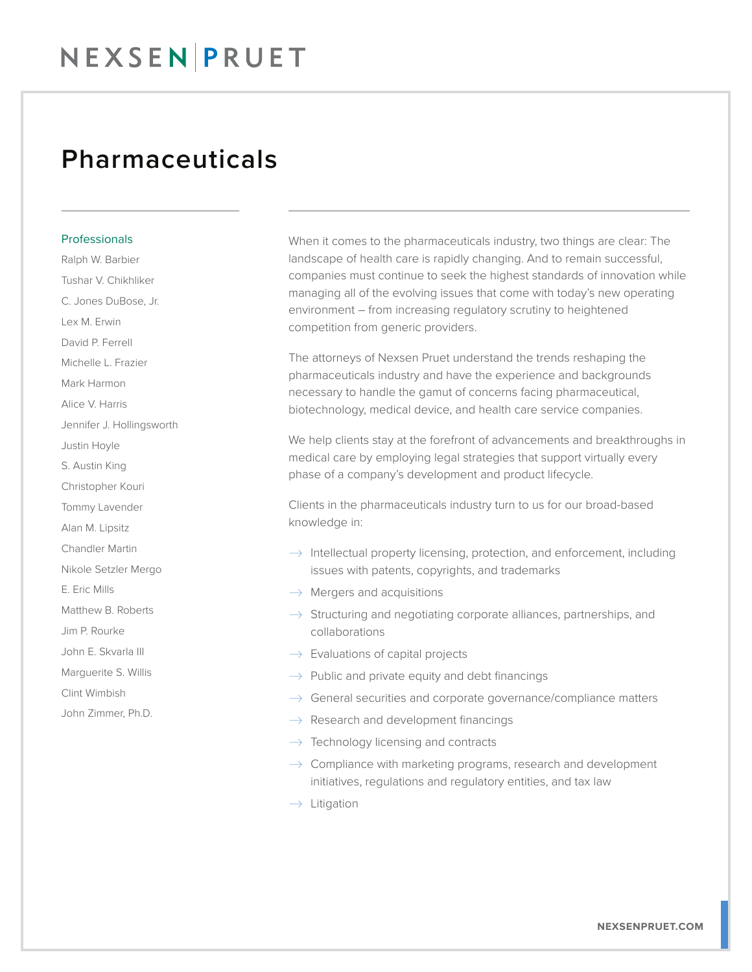## NEXSEN PRUET

### Pharmaceuticals

#### **Professionals**

Ralph W. Barbier Tushar V. Chikhliker C. Jones DuBose, Jr. Lex M. Erwin David P. Ferrell Michelle L. Frazier Mark Harmon Alice V. Harris Jennifer J. Hollingsworth Justin Hoyle S. Austin King Christopher Kouri Tommy Lavender Alan M. Lipsitz Chandler Martin Nikole Setzler Mergo E. Eric Mills Matthew B. Roberts Jim P. Rourke John E. Skvarla III Marguerite S. Willis Clint Wimbish John Zimmer, Ph.D.

When it comes to the pharmaceuticals industry, two things are clear: The landscape of health care is rapidly changing. And to remain successful, companies must continue to seek the highest standards of innovation while managing all of the evolving issues that come with today's new operating environment – from increasing regulatory scrutiny to heightened competition from generic providers.

The attorneys of Nexsen Pruet understand the trends reshaping the pharmaceuticals industry and have the experience and backgrounds necessary to handle the gamut of concerns facing pharmaceutical, biotechnology, medical device, and health care service companies.

We help clients stay at the forefront of advancements and breakthroughs in medical care by employing legal strategies that support virtually every phase of a company's development and product lifecycle.

Clients in the pharmaceuticals industry turn to us for our broad-based knowledge in:

- $\rightarrow$  Intellectual property licensing, protection, and enforcement, including issues with patents, copyrights, and trademarks
- $\rightarrow$  Mergers and acquisitions
- $\rightarrow$  Structuring and negotiating corporate alliances, partnerships, and collaborations
- $\rightarrow$  Evaluations of capital projects
- $\rightarrow$  Public and private equity and debt financings
- $\rightarrow$  General securities and corporate governance/compliance matters
- $\rightarrow$  Research and development financings
- $\rightarrow$  Technology licensing and contracts
- $\rightarrow$  Compliance with marketing programs, research and development initiatives, regulations and regulatory entities, and tax law
- $\rightarrow$  Litigation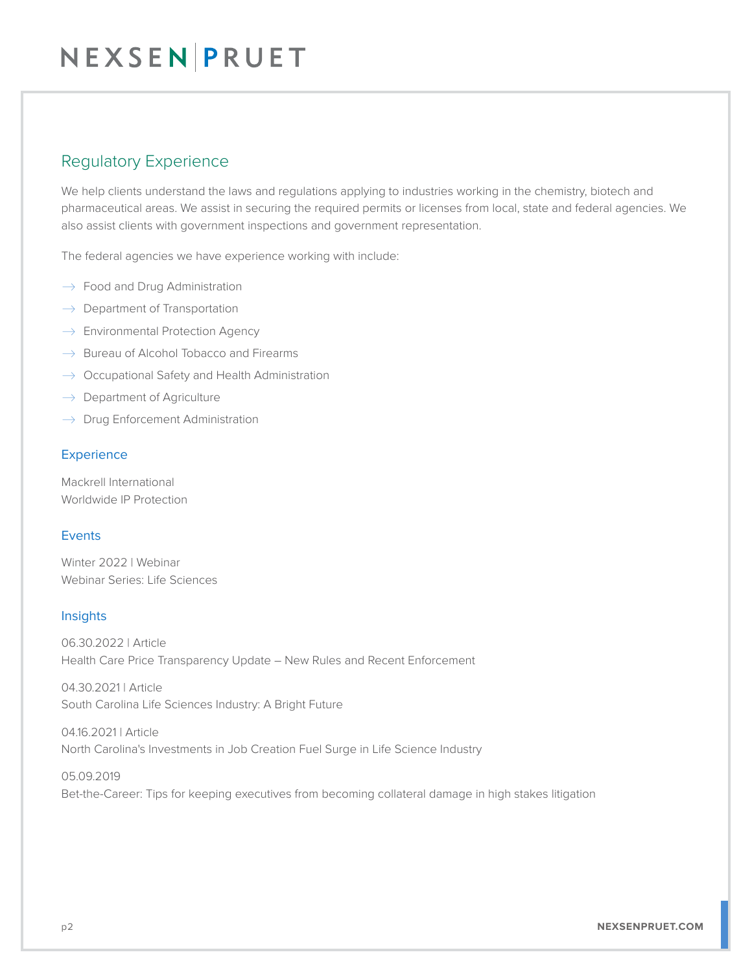#### Regulatory Experience

We help clients understand the laws and regulations applying to industries working in the chemistry, biotech and pharmaceutical areas. We assist in securing the required permits or licenses from local, state and federal agencies. We also assist clients with government inspections and government representation.

The federal agencies we have experience working with include:

- $\rightarrow$  Food and Drug Administration
- $\rightarrow$  Department of Transportation
- $\rightarrow$  Environmental Protection Agency
- $\rightarrow$  Bureau of Alcohol Tobacco and Firearms
- $\rightarrow$  Occupational Safety and Health Administration
- $\rightarrow$  Department of Agriculture
- $\rightarrow$  Drug Enforcement Administration

#### Experience

Mackrell International Worldwide IP Protection

#### Events

Winter 2022 | Webinar Webinar Series: Life Sciences

#### **Insights**

06.30.2022 | Article Health Care Price Transparency Update – New Rules and Recent Enforcement

04.30.2021 | Article South Carolina Life Sciences Industry: A Bright Future

04.16.2021 | Article North Carolina's Investments in Job Creation Fuel Surge in Life Science Industry

05.09.2019 Bet-the-Career: Tips for keeping executives from becoming collateral damage in high stakes litigation